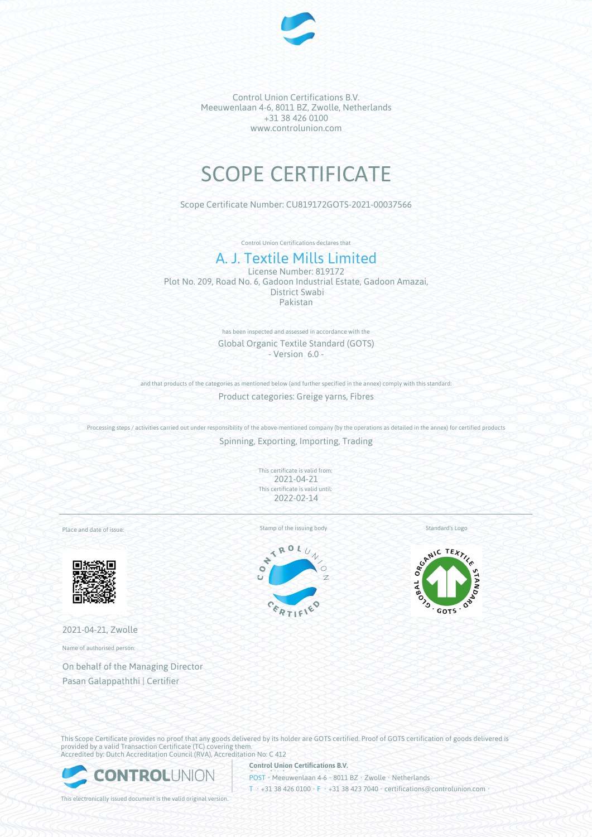

Control Union Certifications B.V. Meeuwenlaan 4-6, 8011 BZ, Zwolle, Netherlands +31 38 426 0100 www.controlunion.com

# SCOPE CERTIFICATE

Scope Certificate Number: CU819172GOTS-2021-00037566

Control Union Certifications declares that

## A. J. Textile Mills Limited

License Number: 819172 Plot No. 209, Road No. 6, Gadoon Industrial Estate, Gadoon Amazai, District Swabi Pakistan

> has been inspected and assessed in accordance with the Global Organic Textile Standard (GOTS) - Version 6.0 -

and that products of the categories as mentioned below (and further specified in the annex) comply with this standard:

Product categories: Greige yarns, Fibres

Processing steps / activities carried out under responsibility of the above-mentioned company (by the operations as detailed in the annex) for certified products Spinning, Exporting, Importing, Trading

> This certificate is valid from: 2021-04-21 This certificate is valid until: 2022-02-14

Place and date of issue:



2021-04-21, Zwolle

Name of authorised person:

On behalf of the Managing Director Pasan Galappaththi | Certifier

Stamp of the issuing body Standard's Logo





This Scope Certificate provides no proof that any goods delivered by its holder are GOTS certified. Proof of GOTS certification of goods delivered is provided by a valid Transaction Certificate (TC) covering them. Accredited by: Dutch Accreditation Council (RVA), Accreditation No: C 412



**Control Union Certifications B.V.** POST • Meeuwenlaan 4-6 • 8011 BZ • Zwolle • Netherlands T • +31 38 426 0100 • F • +31 38 423 7040 • certifications@controlunion.com •

This electronically issued document is the valid original version.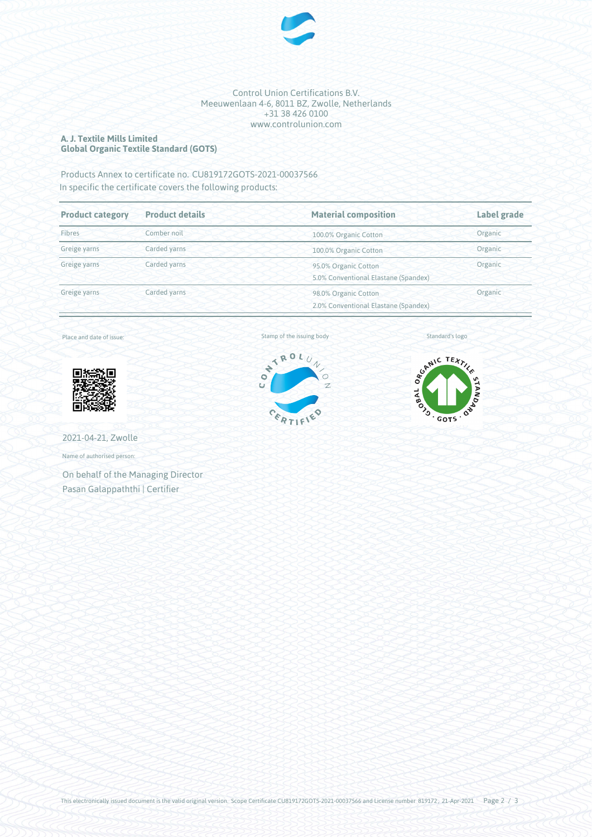

#### Control Union Certifications B.V. Meeuwenlaan 4-6, 8011 BZ, Zwolle, Netherlands +31 38 426 0100 www.controlunion.com

#### **A. J. Textile Mills Limited Global Organic Textile Standard (GOTS)**

### Products Annex to certificate no. CU819172GOTS-2021-00037566 In specific the certificate covers the following products:

| <b>Product category</b> | <b>Product details</b> | <b>Material composition</b>                                  | Label grade |
|-------------------------|------------------------|--------------------------------------------------------------|-------------|
| Fibres                  | Comber noil            | 100.0% Organic Cotton                                        | Organic     |
| Greige yarns            | Carded yarns           | 100.0% Organic Cotton                                        | Organic     |
| Greige yarns            | Carded yarns           | 95.0% Organic Cotton<br>5.0% Conventional Elastane (Spandex) | Organic     |
| Greige yarns            | Carded yarns           | 98.0% Organic Cotton<br>2.0% Conventional Elastane (Spandex) | Organic     |

Place and date of issue:



2021-04-21, Zwolle

Name of authorised person:

On behalf of the Managing Director Pasan Galappaththi | Certifier